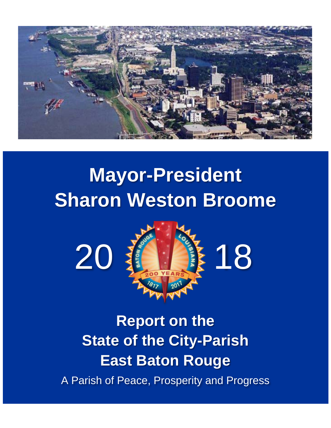

# **Mayor-President Sharon Weston Broome**



**Report on the State of the City-Parish East Baton Rouge** A Parish of Peace, Prosperity and Progress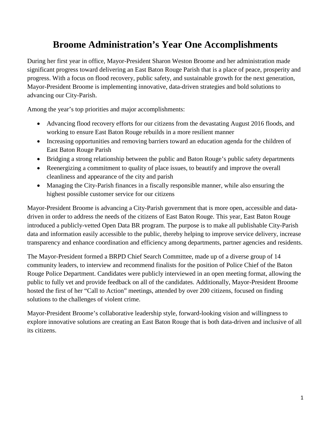# **Broome Administration's Year One Accomplishments**

During her first year in office, Mayor-President Sharon Weston Broome and her administration made significant progress toward delivering an East Baton Rouge Parish that is a place of peace, prosperity and progress. With a focus on flood recovery, public safety, and sustainable growth for the next generation, Mayor-President Broome is implementing innovative, data-driven strategies and bold solutions to advancing our City-Parish.

Among the year's top priorities and major accomplishments:

- Advancing flood recovery efforts for our citizens from the devastating August 2016 floods, and working to ensure East Baton Rouge rebuilds in a more resilient manner
- Increasing opportunities and removing barriers toward an education agenda for the children of East Baton Rouge Parish
- Bridging a strong relationship between the public and Baton Rouge's public safety departments
- Reenergizing a commitment to quality of place issues, to beautify and improve the overall cleanliness and appearance of the city and parish
- Managing the City-Parish finances in a fiscally responsible manner, while also ensuring the highest possible customer service for our citizens

Mayor-President Broome is advancing a City-Parish government that is more open, accessible and datadriven in order to address the needs of the citizens of East Baton Rouge. This year, East Baton Rouge introduced a publicly-vetted Open Data BR program. The purpose is to make all publishable City-Parish data and information easily accessible to the public, thereby helping to improve service delivery, increase transparency and enhance coordination and efficiency among departments, partner agencies and residents.

The Mayor-President formed a BRPD Chief Search Committee, made up of a diverse group of 14 community leaders, to interview and recommend finalists for the position of Police Chief of the Baton Rouge Police Department. Candidates were publicly interviewed in an open meeting format, allowing the public to fully vet and provide feedback on all of the candidates. Additionally, Mayor-President Broome hosted the first of her "Call to Action" meetings, attended by over 200 citizens, focused on finding solutions to the challenges of violent crime.

Mayor-President Broome's collaborative leadership style, forward-looking vision and willingness to explore innovative solutions are creating an East Baton Rouge that is both data-driven and inclusive of all its citizens.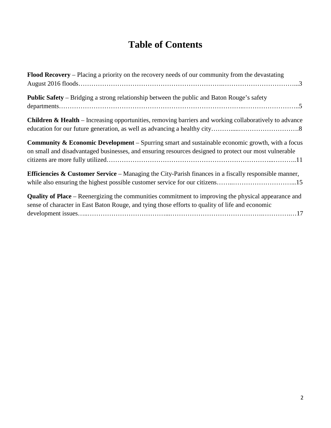# **Table of Contents**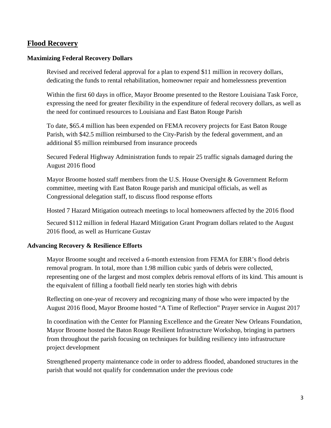## **Flood Recovery**

#### **Maximizing Federal Recovery Dollars**

Revised and received federal approval for a plan to expend \$11 million in recovery dollars, dedicating the funds to rental rehabilitation, homeowner repair and homelessness prevention

Within the first 60 days in office, Mayor Broome presented to the Restore Louisiana Task Force, expressing the need for greater flexibility in the expenditure of federal recovery dollars, as well as the need for continued resources to Louisiana and East Baton Rouge Parish

To date, \$65.4 million has been expended on FEMA recovery projects for East Baton Rouge Parish, with \$42.5 million reimbursed to the City-Parish by the federal government, and an additional \$5 million reimbursed from insurance proceeds

Secured Federal Highway Administration funds to repair 25 traffic signals damaged during the August 2016 flood

Mayor Broome hosted staff members from the U.S. House Oversight & Government Reform committee, meeting with East Baton Rouge parish and municipal officials, as well as Congressional delegation staff, to discuss flood response efforts

Hosted 7 Hazard Mitigation outreach meetings to local homeowners affected by the 2016 flood

Secured \$112 million in federal Hazard Mitigation Grant Program dollars related to the August 2016 flood, as well as Hurricane Gustav

#### **Advancing Recovery & Resilience Efforts**

Mayor Broome sought and received a 6-month extension from FEMA for EBR's flood debris removal program. In total, more than 1.98 million cubic yards of debris were collected, representing one of the largest and most complex debris removal efforts of its kind. This amount is the equivalent of filling a football field nearly ten stories high with debris

Reflecting on one-year of recovery and recognizing many of those who were impacted by the August 2016 flood, Mayor Broome hosted "A Time of Reflection" Prayer service in August 2017

In coordination with the Center for Planning Excellence and the Greater New Orleans Foundation, Mayor Broome hosted the Baton Rouge Resilient Infrastructure Workshop, bringing in partners from throughout the parish focusing on techniques for building resiliency into infrastructure project development

Strengthened property maintenance code in order to address flooded, abandoned structures in the parish that would not qualify for condemnation under the previous code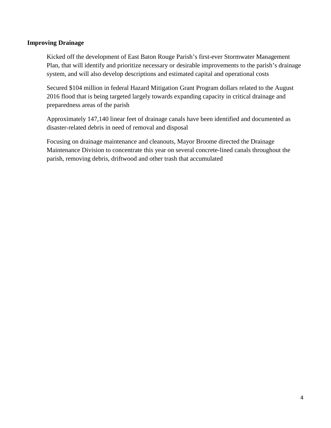#### **Improving Drainage**

Kicked off the development of East Baton Rouge Parish's first-ever Stormwater Management Plan, that will identify and prioritize necessary or desirable improvements to the parish's drainage system, and will also develop descriptions and estimated capital and operational costs

Secured \$104 million in federal Hazard Mitigation Grant Program dollars related to the August 2016 flood that is being targeted largely towards expanding capacity in critical drainage and preparedness areas of the parish

Approximately 147,140 linear feet of drainage canals have been identified and documented as disaster-related debris in need of removal and disposal

Focusing on drainage maintenance and cleanouts, Mayor Broome directed the Drainage Maintenance Division to concentrate this year on several concrete-lined canals throughout the parish, removing debris, driftwood and other trash that accumulated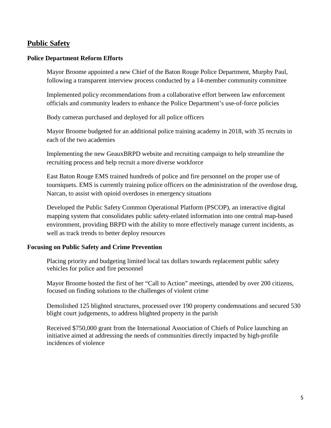## **Public Safety**

#### **Police Department Reform Efforts**

Mayor Broome appointed a new Chief of the Baton Rouge Police Department, Murphy Paul, following a transparent interview process conducted by a 14-member community committee

Implemented policy recommendations from a collaborative effort between law enforcement officials and community leaders to enhance the Police Department's use-of-force policies

Body cameras purchased and deployed for all police officers

Mayor Broome budgeted for an additional police training academy in 2018, with 35 recruits in each of the two academies

Implementing the new GeauxBRPD website and recruiting campaign to help streamline the recruiting process and help recruit a more diverse workforce

East Baton Rouge EMS trained hundreds of police and fire personnel on the proper use of tourniquets. EMS is currently training police officers on the administration of the overdose drug, Narcan, to assist with opioid overdoses in emergency situations

Developed the Public Safety Common Operational Platform (PSCOP), an interactive digital mapping system that consolidates public safety-related information into one central map-based environment, providing BRPD with the ability to more effectively manage current incidents, as well as track trends to better deploy resources

#### **Focusing on Public Safety and Crime Prevention**

Placing priority and budgeting limited local tax dollars towards replacement public safety vehicles for police and fire personnel

Mayor Broome hosted the first of her "Call to Action" meetings, attended by over 200 citizens, focused on finding solutions to the challenges of violent crime

Demolished 125 blighted structures, processed over 190 property condemnations and secured 530 blight court judgements, to address blighted property in the parish

Received \$750,000 grant from the International Association of Chiefs of Police launching an initiative aimed at addressing the needs of communities directly impacted by high-profile incidences of violence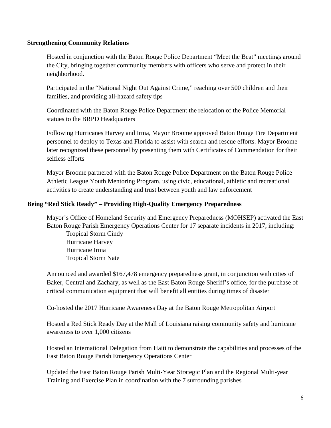#### **Strengthening Community Relations**

Hosted in conjunction with the Baton Rouge Police Department "Meet the Beat" meetings around the City, bringing together community members with officers who serve and protect in their neighborhood.

Participated in the "National Night Out Against Crime," reaching over 500 children and their families, and providing all-hazard safety tips

Coordinated with the Baton Rouge Police Department the relocation of the Police Memorial statues to the BRPD Headquarters

Following Hurricanes Harvey and Irma, Mayor Broome approved Baton Rouge Fire Department personnel to deploy to Texas and Florida to assist with search and rescue efforts. Mayor Broome later recognized these personnel by presenting them with Certificates of Commendation for their selfless efforts

Mayor Broome partnered with the Baton Rouge Police Department on the Baton Rouge Police Athletic League Youth Mentoring Program, using civic, educational, athletic and recreational activities to create understanding and trust between youth and law enforcement

#### **Being "Red Stick Ready" – Providing High-Quality Emergency Preparedness**

Mayor's Office of Homeland Security and Emergency Preparedness (MOHSEP) activated the East Baton Rouge Parish Emergency Operations Center for 17 separate incidents in 2017, including: Tropical Storm Cindy Hurricane Harvey Hurricane Irma Tropical Storm Nate

Announced and awarded \$167,478 emergency preparedness grant, in conjunction with cities of Baker, Central and Zachary, as well as the East Baton Rouge Sheriff's office, for the purchase of critical communication equipment that will benefit all entities during times of disaster

Co-hosted the 2017 Hurricane Awareness Day at the Baton Rouge Metropolitan Airport

Hosted a Red Stick Ready Day at the Mall of Louisiana raising community safety and hurricane awareness to over 1,000 citizens

Hosted an International Delegation from Haiti to demonstrate the capabilities and processes of the East Baton Rouge Parish Emergency Operations Center

Updated the East Baton Rouge Parish Multi-Year Strategic Plan and the Regional Multi-year Training and Exercise Plan in coordination with the 7 surrounding parishes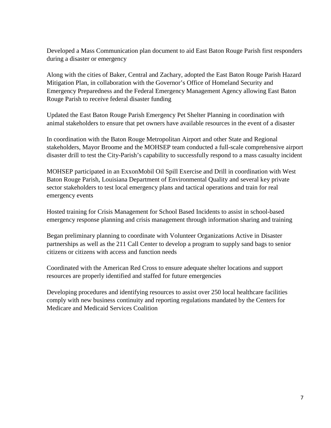Developed a Mass Communication plan document to aid East Baton Rouge Parish first responders during a disaster or emergency

Along with the cities of Baker, Central and Zachary, adopted the East Baton Rouge Parish Hazard Mitigation Plan, in collaboration with the Governor's Office of Homeland Security and Emergency Preparedness and the Federal Emergency Management Agency allowing East Baton Rouge Parish to receive federal disaster funding

Updated the East Baton Rouge Parish Emergency Pet Shelter Planning in coordination with animal stakeholders to ensure that pet owners have available resources in the event of a disaster

In coordination with the Baton Rouge Metropolitan Airport and other State and Regional stakeholders, Mayor Broome and the MOHSEP team conducted a full-scale comprehensive airport disaster drill to test the City-Parish's capability to successfully respond to a mass casualty incident

MOHSEP participated in an ExxonMobil Oil Spill Exercise and Drill in coordination with West Baton Rouge Parish, Louisiana Department of Environmental Quality and several key private sector stakeholders to test local emergency plans and tactical operations and train for real emergency events

Hosted training for Crisis Management for School Based Incidents to assist in school-based emergency response planning and crisis management through information sharing and training

Began preliminary planning to coordinate with Volunteer Organizations Active in Disaster partnerships as well as the 211 Call Center to develop a program to supply sand bags to senior citizens or citizens with access and function needs

Coordinated with the American Red Cross to ensure adequate shelter locations and support resources are properly identified and staffed for future emergencies

Developing procedures and identifying resources to assist over 250 local healthcare facilities comply with new business continuity and reporting regulations mandated by the Centers for Medicare and Medicaid Services Coalition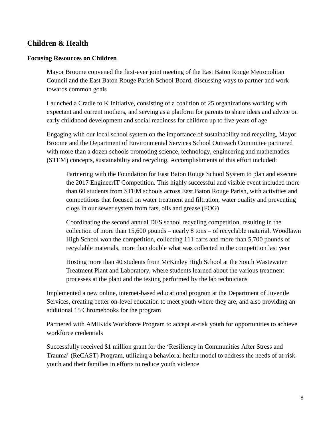# **Children & Health**

#### **Focusing Resources on Children**

Mayor Broome convened the first-ever joint meeting of the East Baton Rouge Metropolitan Council and the East Baton Rouge Parish School Board, discussing ways to partner and work towards common goals

Launched a Cradle to K Initiative, consisting of a coalition of 25 organizations working with expectant and current mothers, and serving as a platform for parents to share ideas and advice on early childhood development and social readiness for children up to five years of age

Engaging with our local school system on the importance of sustainability and recycling, Mayor Broome and the Department of Environmental Services School Outreach Committee partnered with more than a dozen schools promoting science, technology, engineering and mathematics (STEM) concepts, sustainability and recycling. Accomplishments of this effort included:

Partnering with the Foundation for East Baton Rouge School System to plan and execute the 2017 EngineerIT Competition. This highly successful and visible event included more than 60 students from STEM schools across East Baton Rouge Parish, with activities and competitions that focused on water treatment and filtration, water quality and preventing clogs in our sewer system from fats, oils and grease (FOG)

Coordinating the second annual DES school recycling competition, resulting in the collection of more than 15,600 pounds – nearly 8 tons – of recyclable material. Woodlawn High School won the competition, collecting 111 carts and more than 5,700 pounds of recyclable materials, more than double what was collected in the competition last year

Hosting more than 40 students from McKinley High School at the South Wastewater Treatment Plant and Laboratory, where students learned about the various treatment processes at the plant and the testing performed by the lab technicians

Implemented a new online, internet-based educational program at the Department of Juvenile Services, creating better on-level education to meet youth where they are, and also providing an additional 15 Chromebooks for the program

Partnered with AMIKids Workforce Program to accept at-risk youth for opportunities to achieve workforce credentials

Successfully received \$1 million grant for the 'Resiliency in Communities After Stress and Trauma' (ReCAST) Program, utilizing a behavioral health model to address the needs of at-risk youth and their families in efforts to reduce youth violence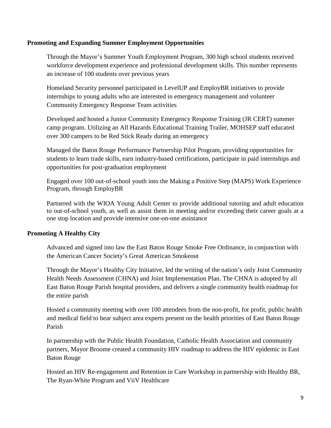#### **Promoting and Expanding Summer Employment Opportunities**

Through the Mayor's Summer Youth Employment Program, 300 high school students received workforce development experience and professional development skills. This number represents an increase of 100 students over previous years

Homeland Security personnel participated in LevelUP and EmployBR initiatives to provide internships to young adults who are interested in emergency management and volunteer Community Emergency Response Team activities

Developed and hosted a Junior Community Emergency Response Training (JR CERT) summer camp program. Utilizing an All Hazards Educational Training Trailer, MOHSEP staff educated over 300 campers to be Red Stick Ready during an emergency

Managed the Baton Rouge Performance Partnership Pilot Program, providing opportunities for students to learn trade skills, earn industry-based certifications, participate in paid internships and opportunities for post-graduation employment

Engaged over 100 out-of-school youth into the Making a Positive Step (MAPS) Work Experience Program, through EmployBR

Partnered with the WIOA Young Adult Center to provide additional tutoring and adult education to out-of-school youth, as well as assist them in meeting and/or exceeding their career goals at a one stop location and provide intensive one-on-one assistance

#### **Promoting A Healthy City**

Advanced and signed into law the East Baton Rouge Smoke Free Ordinance, in conjunction with the American Cancer Society's Great American Smokeout

Through the Mayor's Healthy City Initiative, led the writing of the nation's only Joint Community Health Needs Assessment (CHNA) and Joint Implementation Plan. The CHNA is adopted by all East Baton Rouge Parish hospital providers, and delivers a single community health roadmap for the entire parish

Hosted a community meeting with over 100 attendees from the non-profit, for profit, public health and medical field to hear subject area experts present on the health priorities of East Baton Rouge Parish

In partnership with the Public Health Foundation, Catholic Health Association and community partners, Mayor Broome created a community HIV roadmap to address the HIV epidemic in East Baton Rouge

Hosted an HIV Re-engagement and Retention in Care Workshop in partnership with Healthy BR, The Ryan-White Program and ViiV Healthcare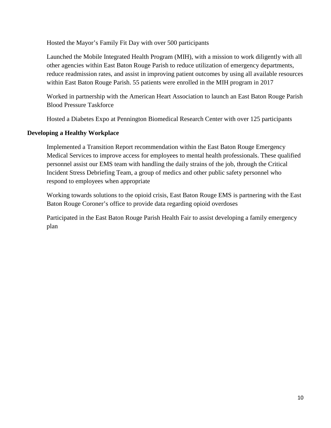Hosted the Mayor's Family Fit Day with over 500 participants

Launched the Mobile Integrated Health Program (MIH), with a mission to work diligently with all other agencies within East Baton Rouge Parish to reduce utilization of emergency departments, reduce readmission rates, and assist in improving patient outcomes by using all available resources within East Baton Rouge Parish. 55 patients were enrolled in the MIH program in 2017

Worked in partnership with the American Heart Association to launch an East Baton Rouge Parish Blood Pressure Taskforce

Hosted a Diabetes Expo at Pennington Biomedical Research Center with over 125 participants

#### **Developing a Healthy Workplace**

Implemented a Transition Report recommendation within the East Baton Rouge Emergency Medical Services to improve access for employees to mental health professionals. These qualified personnel assist our EMS team with handling the daily strains of the job, through the Critical Incident Stress Debriefing Team, a group of medics and other public safety personnel who respond to employees when appropriate

Working towards solutions to the opioid crisis, East Baton Rouge EMS is partnering with the East Baton Rouge Coroner's office to provide data regarding opioid overdoses

Participated in the East Baton Rouge Parish Health Fair to assist developing a family emergency plan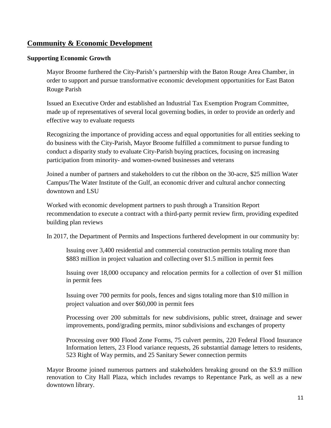# **Community & Economic Development**

#### **Supporting Economic Growth**

Mayor Broome furthered the City-Parish's partnership with the Baton Rouge Area Chamber, in order to support and pursue transformative economic development opportunities for East Baton Rouge Parish

Issued an Executive Order and established an Industrial Tax Exemption Program Committee, made up of representatives of several local governing bodies, in order to provide an orderly and effective way to evaluate requests

Recognizing the importance of providing access and equal opportunities for all entities seeking to do business with the City-Parish, Mayor Broome fulfilled a commitment to pursue funding to conduct a disparity study to evaluate City-Parish buying practices, focusing on increasing participation from minority- and women-owned businesses and veterans

Joined a number of partners and stakeholders to cut the ribbon on the 30-acre, \$25 million Water Campus/The Water Institute of the Gulf, an economic driver and cultural anchor connecting downtown and LSU

Worked with economic development partners to push through a Transition Report recommendation to execute a contract with a third-party permit review firm, providing expedited building plan reviews

In 2017, the Department of Permits and Inspections furthered development in our community by:

Issuing over 3,400 residential and commercial construction permits totaling more than \$883 million in project valuation and collecting over \$1.5 million in permit fees

Issuing over 18,000 occupancy and relocation permits for a collection of over \$1 million in permit fees

Issuing over 700 permits for pools, fences and signs totaling more than \$10 million in project valuation and over \$60,000 in permit fees

Processing over 200 submittals for new subdivisions, public street, drainage and sewer improvements, pond/grading permits, minor subdivisions and exchanges of property

Processing over 900 Flood Zone Forms, 75 culvert permits, 220 Federal Flood Insurance Information letters, 23 Flood variance requests, 26 substantial damage letters to residents, 523 Right of Way permits, and 25 Sanitary Sewer connection permits

Mayor Broome joined numerous partners and stakeholders breaking ground on the \$3.9 million renovation to City Hall Plaza, which includes revamps to Repentance Park, as well as a new downtown library.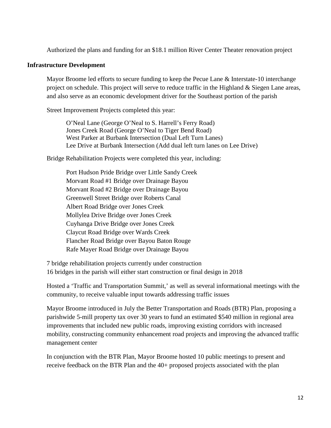Authorized the plans and funding for an \$18.1 million River Center Theater renovation project

#### **Infrastructure Development**

Mayor Broome led efforts to secure funding to keep the Pecue Lane & Interstate-10 interchange project on schedule. This project will serve to reduce traffic in the Highland & Siegen Lane areas, and also serve as an economic development driver for the Southeast portion of the parish

Street Improvement Projects completed this year:

O'Neal Lane (George O'Neal to S. Harrell's Ferry Road) Jones Creek Road (George O'Neal to Tiger Bend Road) West Parker at Burbank Intersection (Dual Left Turn Lanes) Lee Drive at Burbank Intersection (Add dual left turn lanes on Lee Drive)

Bridge Rehabilitation Projects were completed this year, including:

Port Hudson Pride Bridge over Little Sandy Creek Morvant Road #1 Bridge over Drainage Bayou Morvant Road #2 Bridge over Drainage Bayou Greenwell Street Bridge over Roberts Canal Albert Road Bridge over Jones Creek Mollylea Drive Bridge over Jones Creek Cuyhanga Drive Bridge over Jones Creek Claycut Road Bridge over Wards Creek Flancher Road Bridge over Bayou Baton Rouge Rafe Mayer Road Bridge over Drainage Bayou

7 bridge rehabilitation projects currently under construction 16 bridges in the parish will either start construction or final design in 2018

Hosted a 'Traffic and Transportation Summit,' as well as several informational meetings with the community, to receive valuable input towards addressing traffic issues

Mayor Broome introduced in July the Better Transportation and Roads (BTR) Plan, proposing a parishwide 5-mill property tax over 30 years to fund an estimated \$540 million in regional area improvements that included new public roads, improving existing corridors with increased mobility, constructing community enhancement road projects and improving the advanced traffic management center

In conjunction with the BTR Plan, Mayor Broome hosted 10 public meetings to present and receive feedback on the BTR Plan and the 40+ proposed projects associated with the plan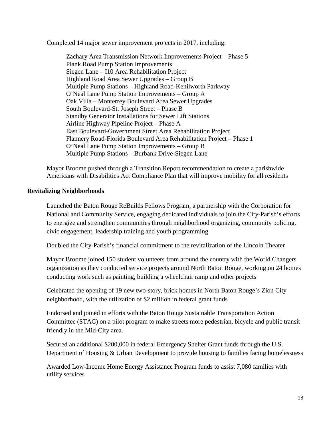Completed 14 major sewer improvement projects in 2017, including:

Zachary Area Transmission Network Improvements Project – Phase 5 Plank Road Pump Station Improvements Siegen Lane – I10 Area Rehabilitation Project Highland Road Area Sewer Upgrades – Group B Multiple Pump Stations – Highland Road-Kenilworth Parkway O'Neal Lane Pump Station Improvements – Group A Oak Villa – Monterrey Boulevard Area Sewer Upgrades South Boulevard-St. Joseph Street – Phase B Standby Generator Installations for Sewer Lift Stations Airline Highway Pipeline Project – Phase A East Boulevard-Government Street Area Rehabilitation Project Flannery Road-Florida Boulevard Area Rehabilitation Project – Phase 1 O'Neal Lane Pump Station Improvements – Group B Multiple Pump Stations – Burbank Drive-Siegen Lane

Mayor Broome pushed through a Transition Report recommendation to create a parishwide Americans with Disabilities Act Compliance Plan that will improve mobility for all residents

#### **Revitalizing Neighborhoods**

Launched the Baton Rouge ReBuilds Fellows Program, a partnership with the Corporation for National and Community Service, engaging dedicated individuals to join the City-Parish's efforts to energize and strengthen communities through neighborhood organizing, community policing, civic engagement, leadership training and youth programming

Doubled the City-Parish's financial commitment to the revitalization of the Lincoln Theater

Mayor Broome joined 150 student volunteers from around the country with the World Changers organization as they conducted service projects around North Baton Rouge, working on 24 homes conducting work such as painting, building a wheelchair ramp and other projects

Celebrated the opening of 19 new two-story, brick homes in North Baton Rouge's Zion City neighborhood, with the utilization of \$2 million in federal grant funds

Endorsed and joined in efforts with the Baton Rouge Sustainable Transportation Action Committee (STAC) on a pilot program to make streets more pedestrian, bicycle and public transit friendly in the Mid-City area.

Secured an additional \$200,000 in federal Emergency Shelter Grant funds through the U.S. Department of Housing & Urban Development to provide housing to families facing homelessness

Awarded Low-Income Home Energy Assistance Program funds to assist 7,080 families with utility services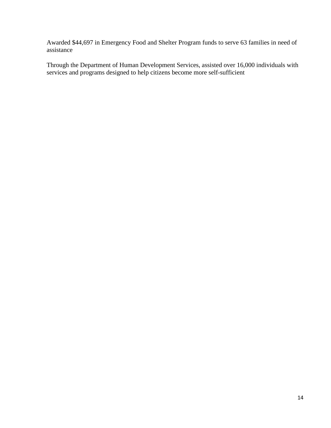Awarded \$44,697 in Emergency Food and Shelter Program funds to serve 63 families in need of assistance

Through the Department of Human Development Services, assisted over 16,000 individuals with services and programs designed to help citizens become more self-sufficient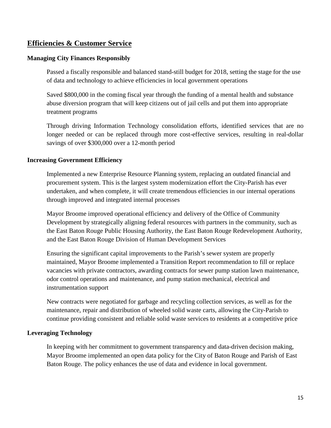## **Efficiencies & Customer Service**

#### **Managing City Finances Responsibly**

Passed a fiscally responsible and balanced stand-still budget for 2018, setting the stage for the use of data and technology to achieve efficiencies in local government operations

Saved \$800,000 in the coming fiscal year through the funding of a mental health and substance abuse diversion program that will keep citizens out of jail cells and put them into appropriate treatment programs

Through driving Information Technology consolidation efforts, identified services that are no longer needed or can be replaced through more cost-effective services, resulting in real-dollar savings of over \$300,000 over a 12-month period

#### **Increasing Government Efficiency**

Implemented a new Enterprise Resource Planning system, replacing an outdated financial and procurement system. This is the largest system modernization effort the City-Parish has ever undertaken, and when complete, it will create tremendous efficiencies in our internal operations through improved and integrated internal processes

Mayor Broome improved operational efficiency and delivery of the Office of Community Development by strategically aligning federal resources with partners in the community, such as the East Baton Rouge Public Housing Authority, the East Baton Rouge Redevelopment Authority, and the East Baton Rouge Division of Human Development Services

Ensuring the significant capital improvements to the Parish's sewer system are properly maintained, Mayor Broome implemented a Transition Report recommendation to fill or replace vacancies with private contractors, awarding contracts for sewer pump station lawn maintenance, odor control operations and maintenance, and pump station mechanical, electrical and instrumentation support

New contracts were negotiated for garbage and recycling collection services, as well as for the maintenance, repair and distribution of wheeled solid waste carts, allowing the City-Parish to continue providing consistent and reliable solid waste services to residents at a competitive price

#### **Leveraging Technology**

In keeping with her commitment to government transparency and data-driven decision making, Mayor Broome implemented an open data policy for the City of Baton Rouge and Parish of East Baton Rouge. The policy enhances the use of data and evidence in local government.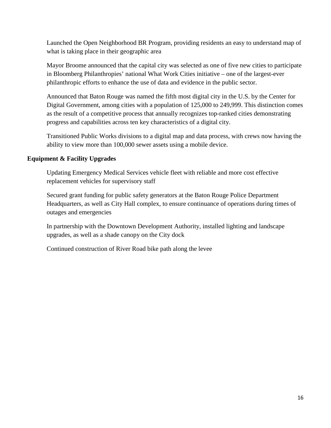Launched the Open Neighborhood BR Program, providing residents an easy to understand map of what is taking place in their geographic area

Mayor Broome announced that the capital city was selected as one of five new cities to participate in Bloomberg Philanthropies' national What Work Cities initiative – one of the largest-ever philanthropic efforts to enhance the use of data and evidence in the public sector.

Announced that Baton Rouge was named the fifth most digital city in the U.S. by the Center for Digital Government, among cities with a population of 125,000 to 249,999. This distinction comes as the result of a competitive process that annually recognizes top-ranked cities demonstrating progress and capabilities across ten key characteristics of a digital city.

Transitioned Public Works divisions to a digital map and data process, with crews now having the ability to view more than 100,000 sewer assets using a mobile device.

#### **Equipment & Facility Upgrades**

Updating Emergency Medical Services vehicle fleet with reliable and more cost effective replacement vehicles for supervisory staff

Secured grant funding for public safety generators at the Baton Rouge Police Department Headquarters, as well as City Hall complex, to ensure continuance of operations during times of outages and emergencies

In partnership with the Downtown Development Authority, installed lighting and landscape upgrades, as well as a shade canopy on the City dock

Continued construction of River Road bike path along the levee